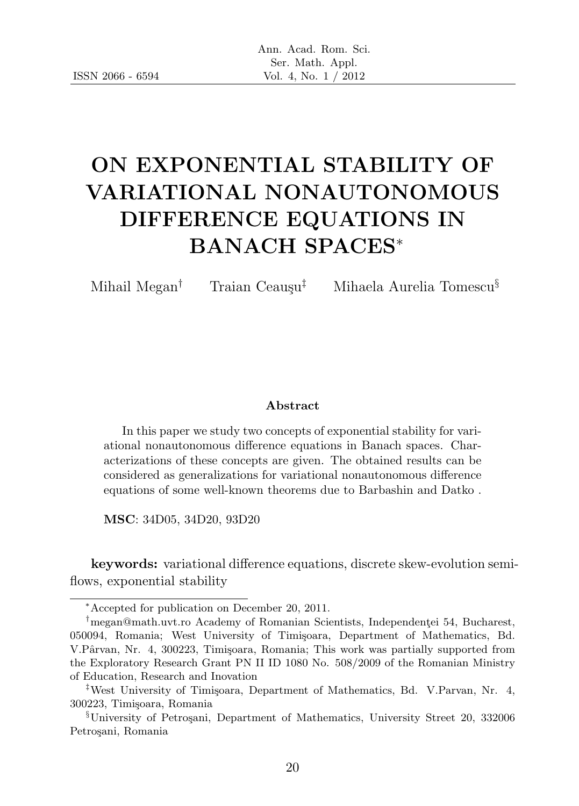# ON EXPONENTIAL STABILITY OF VARIATIONAL NONAUTONOMOUS DIFFERENCE EQUATIONS IN BANACH SPACES<sup>∗</sup>

Mihail Megan<sup>†</sup> Traian Ceaușu<sup>‡</sup> Mihaela Aurelia Tomescu<sup>§</sup>

#### Abstract

In this paper we study two concepts of exponential stability for variational nonautonomous difference equations in Banach spaces. Characterizations of these concepts are given. The obtained results can be considered as generalizations for variational nonautonomous difference equations of some well-known theorems due to Barbashin and Datko .

MSC: 34D05, 34D20, 93D20

keywords: variational difference equations, discrete skew-evolution semiflows, exponential stability

<sup>∗</sup>Accepted for publication on December 20, 2011.

<sup>&</sup>lt;sup>†</sup>megan@math.uvt.ro Academy of Romanian Scientists, Independentei 54, Bucharest, 050094, Romania; West University of Timișoara, Department of Mathematics, Bd. V.Pârvan, Nr. 4, 300223, Timișoara, Romania; This work was partially supported from the Exploratory Research Grant PN II ID 1080 No. 508/2009 of the Romanian Ministry of Education, Research and Inovation

<sup>&</sup>lt;sup>‡</sup>West University of Timișoara, Department of Mathematics, Bd. V.Parvan, Nr. 4, 300223, Timi¸soara, Romania

<sup>§</sup>University of Petro¸sani, Department of Mathematics, University Street 20, 332006 Petrosani, Romania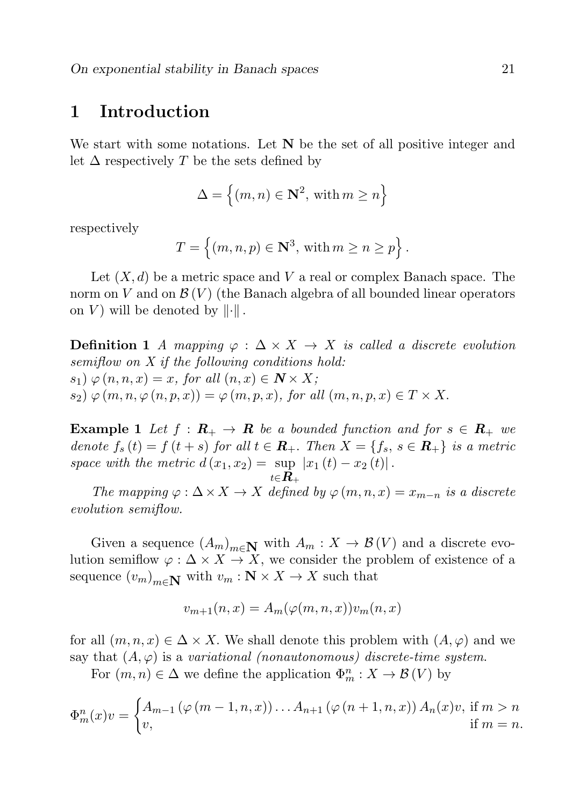#### 1 Introduction

We start with some notations. Let  $N$  be the set of all positive integer and let  $\Delta$  respectively T be the sets defined by

$$
\Delta = \left\{ (m, n) \in \mathbb{N}^2, \text{ with } m \ge n \right\}
$$

respectively

$$
T = \left\{ (m, n, p) \in \mathbb{N}^3, \text{ with } m \ge n \ge p \right\}.
$$

Let  $(X, d)$  be a metric space and V a real or complex Banach space. The norm on V and on  $\mathcal{B}(V)$  (the Banach algebra of all bounded linear operators on V) will be denoted by  $\left\| \cdot \right\|$ .

**Definition 1** A mapping  $\varphi : \Delta \times X \rightarrow X$  is called a discrete evolution semiflow on X if the following conditions hold:  $s_1) \varphi(n, n, x) = x$ , for all  $(n, x) \in \mathbb{N} \times X$ ;  $s_2 \triangleright \varphi(m, n, \varphi(n, p, x)) = \varphi(m, p, x),$  for all  $(m, n, p, x) \in T \times X$ .

**Example 1** Let  $f : \mathbf{R}_{+} \to \mathbf{R}$  be a bounded function and for  $s \in \mathbf{R}_{+}$  we denote  $f_s(t) = f(t+s)$  for all  $t \in \mathbb{R}_+$ . Then  $X = \{f_s, s \in \mathbb{R}_+\}$  is a metric space with the metric  $d(x_1, x_2) = \sup |x_1(t) - x_2(t)|$ .  $_{t\in\boldsymbol{R}_+}$ 

The mapping  $\varphi : \Delta \times X \to X$  defined by  $\varphi(m,n,x) = x_{m-n}$  is a discrete evolution semiflow.

Given a sequence  $(A_m)_{m \in \mathbb{N}}$  with  $A_m : X \to \mathcal{B}(V)$  and a discrete evolution semiflow  $\varphi : \Delta \times X \to X$ , we consider the problem of existence of a sequence  $(v_m)_{m \in \mathbb{N}}$  with  $v_m : \mathbb{N} \times X \to X$  such that

$$
v_{m+1}(n,x) = A_m(\varphi(m,n,x))v_m(n,x)
$$

for all  $(m, n, x) \in \Delta \times X$ . We shall denote this problem with  $(A, \varphi)$  and we say that  $(A, \varphi)$  is a variational (nonautonomous) discrete-time system.

For  $(m, n) \in \Delta$  we define the application  $\Phi_m^n : X \to \mathcal{B}(V)$  by

$$
\Phi_m^n(x)v = \begin{cases} A_{m-1}(\varphi(m-1,n,x)) \dots A_{n+1}(\varphi(n+1,n,x)) A_n(x)v, \text{ if } m > n \\ v, \text{ if } m = n. \end{cases}
$$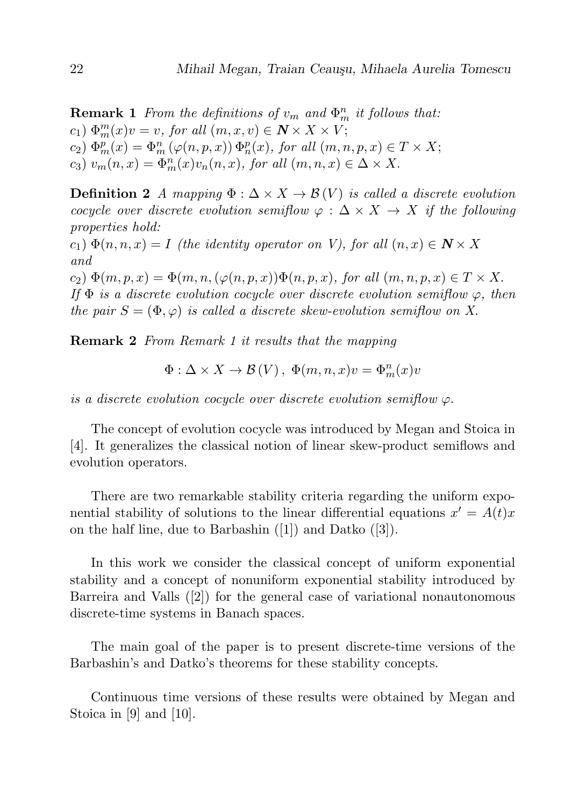**Remark 1** From the definitions of  $v_m$  and  $\Phi_m^n$  it follows that:  $(c_1) \Phi_m^m(x)v = v$ , for all  $(m, x, v) \in \mathbb{N} \times X \times V$ ;  $(c_2) \Phi_m^p(x) = \Phi_m^n(\varphi(n,p,x)) \Phi_n^p(x)$ , for all  $(m, n, p, x) \in T \times X$ ; c<sub>3</sub>)  $v_m(n,x) = \Phi_m^n(x)v_n(n,x)$ , for all  $(m, n, x) \in \Delta \times X$ .

**Definition 2** A mapping  $\Phi : \Delta \times X \to \mathcal{B}(V)$  is called a discrete evolution cocycle over discrete evolution semiflow  $\varphi : \Delta \times X \to X$  if the following properties hold:

 $(c_1) \Phi(n, n, x) = I$  (the identity operator on V), for all  $(n, x) \in \mathbb{N} \times X$ and

 $(c_2) \Phi(m, p, x) = \Phi(m, n, (\varphi(n, p, x)) \Phi(n, p, x),$  for all  $(m, n, p, x) \in T \times X$ . If  $\Phi$  is a discrete evolution cocycle over discrete evolution semiflow  $\varphi$ , then the pair  $S = (\Phi, \varphi)$  is called a discrete skew-evolution semiflow on X.

Remark 2 From Remark 1 it results that the mapping

$$
\Phi: \Delta \times X \to \mathcal{B}(V), \ \Phi(m, n, x)v = \Phi_m^n(x)v
$$

is a discrete evolution cocycle over discrete evolution semiflow  $\varphi$ .

The concept of evolution cocycle was introduced by Megan and Stoica in [4]. It generalizes the classical notion of linear skew-product semiflows and evolution operators.

There are two remarkable stability criteria regarding the uniform exponential stability of solutions to the linear differential equations  $x' = A(t)x$ on the half line, due to Barbashin ([1]) and Datko ([3]).

In this work we consider the classical concept of uniform exponential stability and a concept of nonuniform exponential stability introduced by Barreira and Valls ([2]) for the general case of variational nonautonomous discrete-time systems in Banach spaces.

The main goal of the paper is to present discrete-time versions of the Barbashin's and Datko's theorems for these stability concepts.

Continuous time versions of these results were obtained by Megan and Stoica in [9] and [10].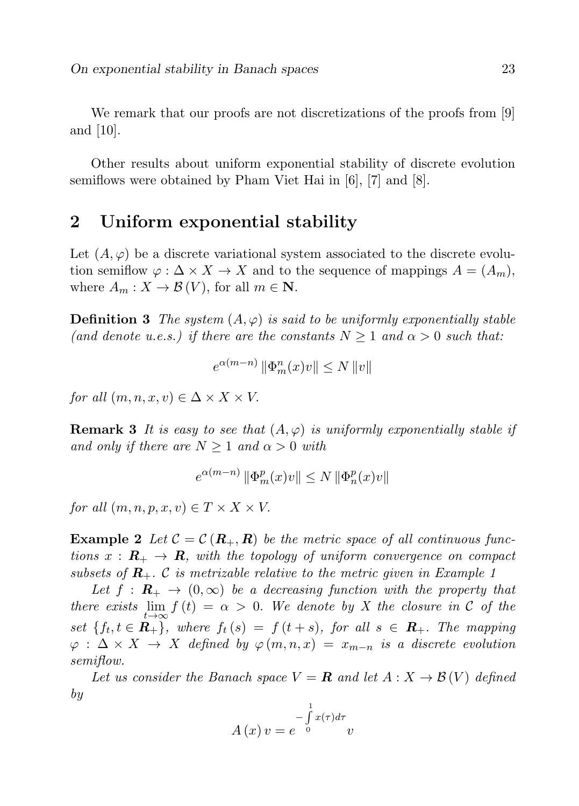We remark that our proofs are not discretizations of the proofs from [9] and [10].

Other results about uniform exponential stability of discrete evolution semiflows were obtained by Pham Viet Hai in [6], [7] and [8].

### 2 Uniform exponential stability

Let  $(A, \varphi)$  be a discrete variational system associated to the discrete evolution semiflow  $\varphi : \Delta \times X \to X$  and to the sequence of mappings  $A = (A_m)$ , where  $A_m: X \to \mathcal{B}(V)$ , for all  $m \in \mathbb{N}$ .

**Definition 3** The system  $(A, \varphi)$  is said to be uniformly exponentially stable (and denote u.e.s.) if there are the constants  $N > 1$  and  $\alpha > 0$  such that:

$$
e^{\alpha (m-n)}\left\|\Phi_m^n(x)v\right\|\leq N\left\|v\right\|
$$

for all  $(m, n, x, v) \in \Delta \times X \times V$ .

**Remark 3** It is easy to see that  $(A, \varphi)$  is uniformly exponentially stable if and only if there are  $N \geq 1$  and  $\alpha > 0$  with

$$
e^{\alpha(m-n)}\left\|\Phi_m^p(x)v\right\| \leq N\left\|\Phi_n^p(x)v\right\|
$$

for all  $(m, n, p, x, v) \in T \times X \times V$ .

**Example 2** Let  $\mathcal{C} = \mathcal{C}(\mathbf{R}_+, \mathbf{R})$  be the metric space of all continuous functions  $x : \mathbf{R}_{+} \to \mathbf{R}$ , with the topology of uniform convergence on compact subsets of  $\mathbf{R}_{+}$ . C is metrizable relative to the metric given in Example 1

Let  $f : \mathbf{R}_{+} \to (0,\infty)$  be a decreasing function with the property that there exists  $\lim_{t\to\infty} f(t) = \alpha > 0$ . We denote by X the closure in C of the set  $\{f_t, t \in \mathbf{R}_+\}$ , where  $f_t(s) = f(t+s)$ , for all  $s \in \mathbf{R}_+$ . The mapping  $\varphi : \Delta \times X \to X$  defined by  $\varphi(m,n,x) = x_{m-n}$  is a discrete evolution semiflow.

Let us consider the Banach space  $V = \mathbf{R}$  and let  $A: X \to \mathcal{B}(V)$  defined by

$$
A(x)v = e^{-\int_{0}^{1} x(\tau)d\tau}v
$$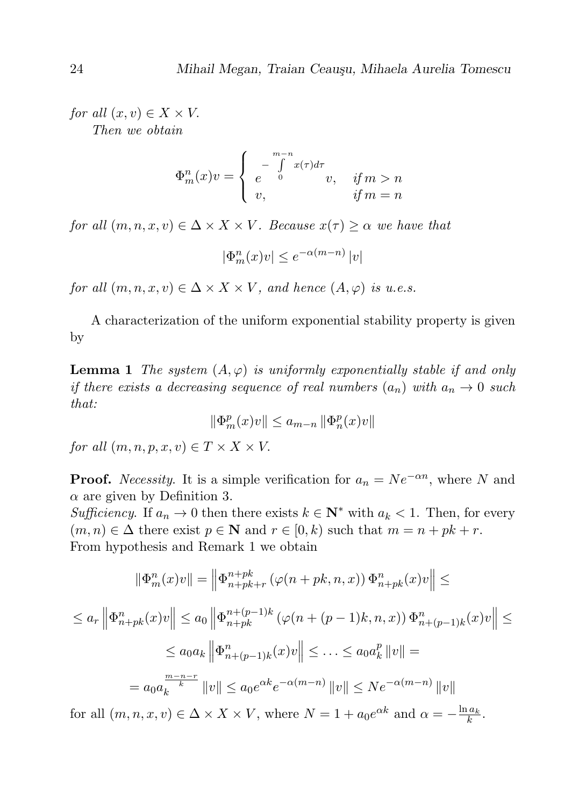for all  $(x, v) \in X \times V$ . Then we obtain

$$
\Phi_m^n(x)v = \begin{cases}\n-\int_0^{m-n} x(\tau)d\tau \\
e_0\n\end{cases} v, \quad \text{if } m > n
$$
\n
$$
\text{if } m = n
$$

for all  $(m, n, x, v) \in \Delta \times X \times V$ . Because  $x(\tau) \geq \alpha$  we have that

$$
|\Phi_m^n(x)v| \le e^{-\alpha(m-n)}|v|
$$

for all  $(m, n, x, v) \in \Delta \times X \times V$ , and hence  $(A, \varphi)$  is u.e.s.

A characterization of the uniform exponential stability property is given by

**Lemma 1** The system  $(A, \varphi)$  is uniformly exponentially stable if and only if there exists a decreasing sequence of real numbers  $(a_n)$  with  $a_n \to 0$  such that:

$$
\|\Phi_m^p(x)v\| \le a_{m-n} \|\Phi_n^p(x)v\|
$$

for all  $(m, n, p, x, v) \in T \times X \times V$ .

**Proof.** Necessity. It is a simple verification for  $a_n = Ne^{-\alpha n}$ , where N and  $\alpha$  are given by Definition 3.

Sufficiency. If  $a_n \to 0$  then there exists  $k \in \mathbb{N}^*$  with  $a_k < 1$ . Then, for every  $(m, n) \in \Delta$  there exist  $p \in \mathbb{N}$  and  $r \in [0, k)$  such that  $m = n + pk + r$ . From hypothesis and Remark 1 we obtain

$$
\|\Phi_m^n(x)v\| = \left\|\Phi_{n+pk+r}^{n+pk}(\varphi(n+pk,n,x))\Phi_{n+pk}^n(x)v\right\| \le
$$
  

$$
\le a_r \left\|\Phi_{n+pk}^n(x)v\right\| \le a_0 \left\|\Phi_{n+pk}^{n+(p-1)k}(\varphi(n+(p-1)k,n,x))\Phi_{n+(p-1)k}^n(x)v\right\| \le
$$
  

$$
\le a_0 a_k \left\|\Phi_{n+(p-1)k}^n(x)v\right\| \le \dots \le a_0 a_k^p \left\|v\right\| =
$$
  

$$
= a_0 a_k^{\frac{m-n-r}{k}} \|v\| \le a_0 e^{\alpha k} e^{-\alpha(m-n)} \|v\| \le N e^{-\alpha(m-n)} \|v\|
$$

for all  $(m, n, x, v) \in \Delta \times X \times V$ , where  $N = 1 + a_0 e^{\alpha k}$  and  $\alpha = -\frac{\ln a_k}{k}$ .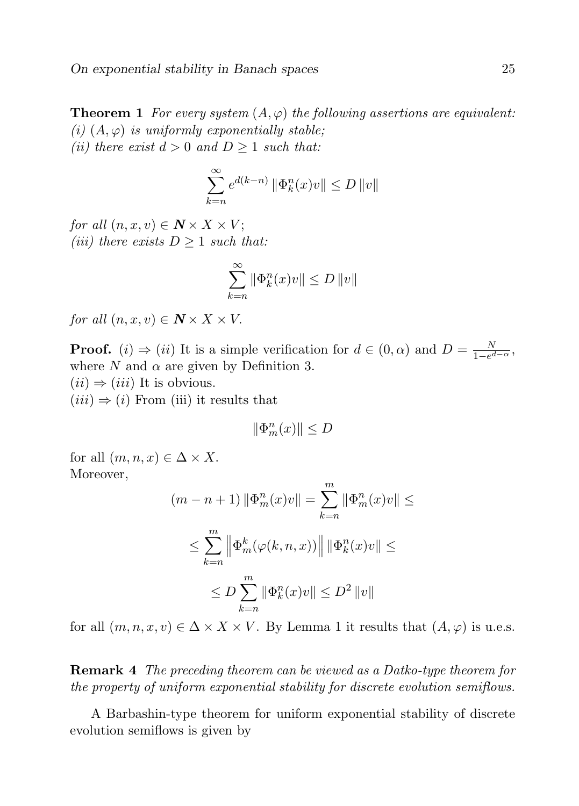**Theorem 1** For every system  $(A, \varphi)$  the following assertions are equivalent: (i)  $(A, \varphi)$  is uniformly exponentially stable; (ii) there exist  $d > 0$  and  $D \ge 1$  such that:

$$
\sum_{k=n}^{\infty} e^{d(k-n)} \left\| \Phi_k^n(x)v \right\| \le D \left\| v \right\|
$$

for all  $(n, x, v) \in \mathbb{N} \times X \times V$ ; (iii) there exists  $D \geq 1$  such that:

$$
\sum_{k=n}^{\infty} \|\Phi_k^n(x)v\| \le D\, \|v\|
$$

for all  $(n, x, v) \in \mathbb{N} \times X \times V$ .

**Proof.** (i)  $\Rightarrow$  (ii) It is a simple verification for  $d \in (0, \alpha)$  and  $D = \frac{N}{1-\alpha^2}$  $\frac{N}{1-e^{d-\alpha}}$ where N and  $\alpha$  are given by Definition 3.  $(ii) \Rightarrow (iii)$  It is obvious.

 $(iii) \Rightarrow (i)$  From (iii) it results that

$$
\|\Phi_m^n(x)\| \leq D
$$

for all  $(m, n, x) \in \Delta \times X$ . Moreover,

$$
(m - n + 1) \|\Phi_m^n(x)v\| = \sum_{k=n}^m \|\Phi_m^n(x)v\| \le
$$
  

$$
\le \sum_{k=n}^m \left\| \Phi_m^k(\varphi(k, n, x)) \right\| \|\Phi_k^n(x)v\| \le
$$
  

$$
\le D \sum_{k=n}^m \|\Phi_k^n(x)v\| \le D^2 \|v\|
$$

for all  $(m, n, x, v) \in \Delta \times X \times V$ . By Lemma 1 it results that  $(A, \varphi)$  is u.e.s.

Remark 4 The preceding theorem can be viewed as a Datko-type theorem for the property of uniform exponential stability for discrete evolution semiflows.

A Barbashin-type theorem for uniform exponential stability of discrete evolution semiflows is given by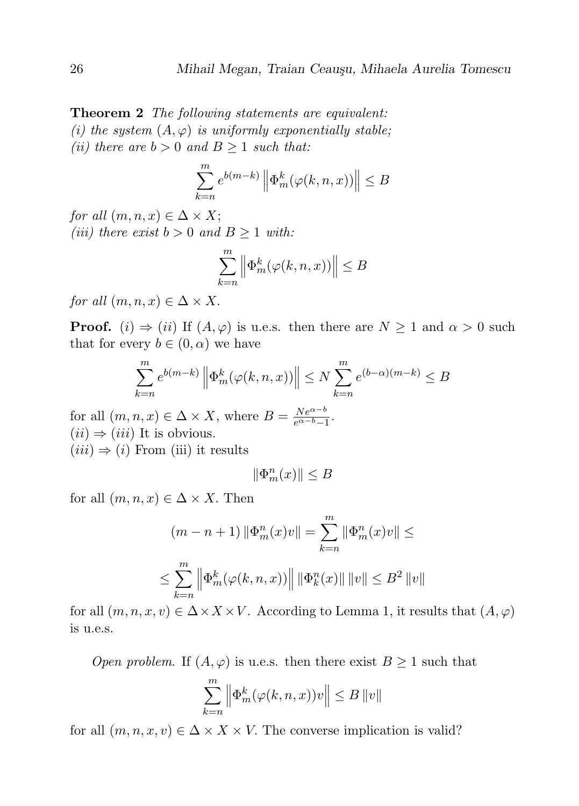**Theorem 2** The following statements are equivalent: (i) the system  $(A, \varphi)$  is uniformly exponentially stable; (ii) there are  $b > 0$  and  $B \ge 1$  such that:

$$
\sum_{k=n}^{m} e^{b(m-k)} \left\| \Phi_m^k(\varphi(k,n,x)) \right\| \leq B
$$

for all  $(m, n, x) \in \Delta \times X$ ; (iii) there exist  $b > 0$  and  $B \ge 1$  with:

$$
\sum_{k=n}^m \left\| \Phi_m^k(\varphi(k,n,x)) \right\| \leq B
$$

for all  $(m, n, x) \in \Delta \times X$ .

**Proof.** (i)  $\Rightarrow$  (ii) If  $(A, \varphi)$  is u.e.s. then there are  $N \ge 1$  and  $\alpha > 0$  such that for every  $b \in (0, \alpha)$  we have

$$
\sum_{k=n}^{m} e^{b(m-k)} \left\| \Phi_m^k(\varphi(k,n,x)) \right\| \le N \sum_{k=n}^{m} e^{(b-\alpha)(m-k)} \le B
$$

for all  $(m, n, x) \in \Delta \times X$ , where  $B = \frac{Ne^{\alpha - b}}{e^{\alpha - b} - 1}$  $\frac{Ne^{\alpha-\theta}}{e^{\alpha-b}-1}.$  $(ii) \Rightarrow (iii)$  It is obvious.  $(iii) \Rightarrow (i)$  From (iii) it results

$$
\|\Phi_m^n(x)\|\leq B
$$

for all  $(m, n, x) \in \Delta \times X$ . Then

$$
(m - n + 1) \|\Phi_m^n(x)v\| = \sum_{k=n}^m \|\Phi_m^n(x)v\| \le
$$
  

$$
\le \sum_{k=n}^m \left\| \Phi_m^k(\varphi(k, n, x)) \right\| \|\Phi_k^n(x)\| \|v\| \le B^2 \|v\|
$$

for all  $(m, n, x, v) \in \Delta \times X \times V$ . According to Lemma 1, it results that  $(A, \varphi)$ is u.e.s.

*Open problem.* If  $(A, \varphi)$  is u.e.s. then there exist  $B \ge 1$  such that

$$
\sum_{k=n}^{m} \left\| \Phi_m^k(\varphi(k,n,x))v \right\| \leq B \|v\|
$$

for all  $(m, n, x, v) \in \Delta \times X \times V$ . The converse implication is valid?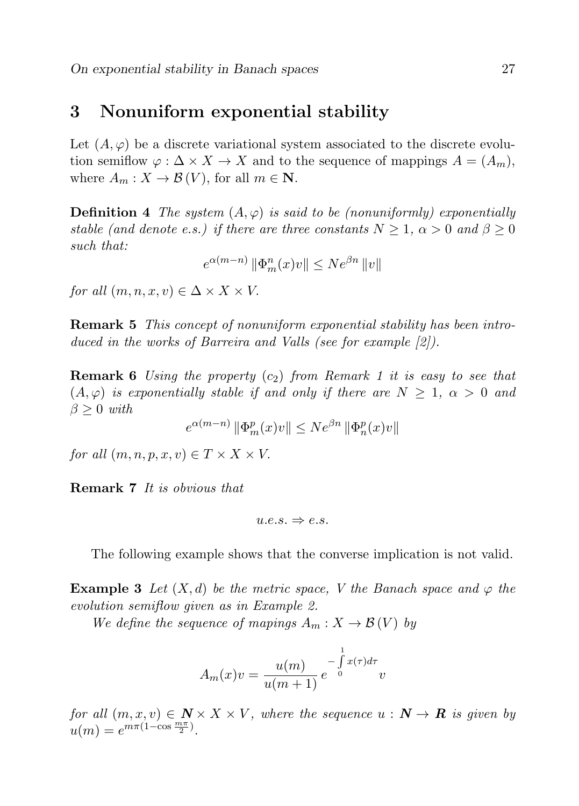### 3 Nonuniform exponential stability

Let  $(A, \varphi)$  be a discrete variational system associated to the discrete evolution semiflow  $\varphi : \Delta \times X \to X$  and to the sequence of mappings  $A = (A_m)$ , where  $A_m: X \to \mathcal{B}(V)$ , for all  $m \in \mathbb{N}$ .

**Definition 4** The system  $(A, \varphi)$  is said to be (nonuniformly) exponentially stable (and denote e.s.) if there are three constants  $N \geq 1$ ,  $\alpha > 0$  and  $\beta \geq 0$ such that:

$$
e^{\alpha(m-n)}\left\|\Phi_m^n(x)v\right\| \leq N e^{\beta n}\left\|v\right\|
$$

for all  $(m, n, x, v) \in \Delta \times X \times V$ .

Remark 5 This concept of nonuniform exponential stability has been introduced in the works of Barreira and Valls (see for example [2]).

**Remark 6** Using the property  $(c_2)$  from Remark 1 it is easy to see that  $(A, \varphi)$  is exponentially stable if and only if there are  $N \geq 1$ ,  $\alpha > 0$  and  $\beta \geq 0$  with

$$
e^{\alpha(m-n)}\left\|\Phi_m^p(x)v\right\| \le N e^{\beta n}\left\|\Phi_n^p(x)v\right\|
$$

for all  $(m, n, p, x, v) \in T \times X \times V$ .

Remark 7 It is obvious that

$$
u.e.s. \Rightarrow e.s.
$$

The following example shows that the converse implication is not valid.

**Example 3** Let  $(X, d)$  be the metric space, V the Banach space and  $\varphi$  the evolution semiflow given as in Example 2.

We define the sequence of mapings  $A_m: X \to \mathcal{B}(V)$  by

$$
A_m(x)v = \frac{u(m)}{u(m+1)}e^{-\int_0^1 x(\tau)d\tau}v
$$

for all  $(m, x, v) \in \mathbb{N} \times X \times V$ , where the sequence  $u : \mathbb{N} \to \mathbb{R}$  is given by  $u(m) = e^{m\pi(1-\cos{\frac{m\pi}{2}})}.$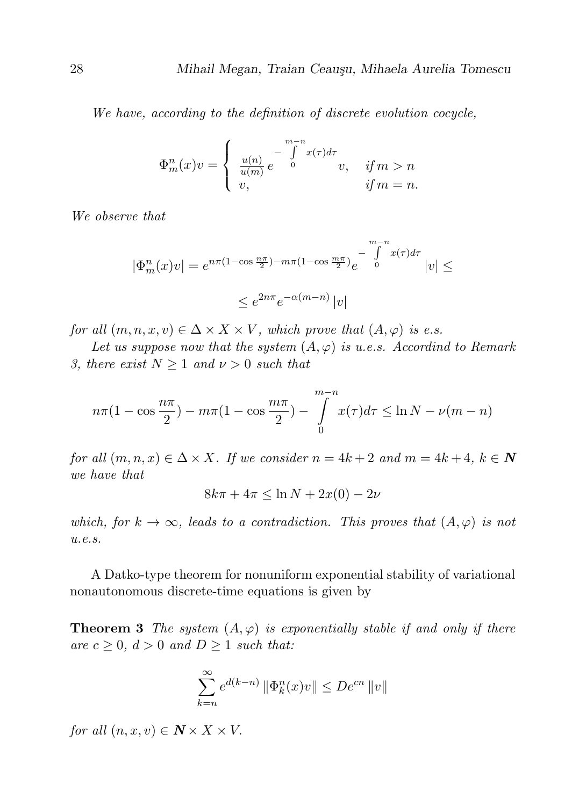We have, according to the definition of discrete evolution cocycle,

$$
\Phi_m^n(x)v = \begin{cases} \frac{u(n)}{u(m)} e^{-\int_0^{m-n} x(\tau)d\tau} & \text{if } m > n \\ v, & \text{if } m = n. \end{cases}
$$

We observe that

$$
|\Phi_m^n(x)v| = e^{n\pi(1-\cos\frac{n\pi}{2}) - m\pi(1-\cos\frac{m\pi}{2})}e^{-\int_0^{m-n}x(\tau)d\tau}|v| \le
$$
  

$$
\le e^{2n\pi}e^{-\alpha(m-n)}|v|
$$

for all  $(m, n, x, v) \in \Delta \times X \times V$ , which prove that  $(A, \varphi)$  is e.s.

Let us suppose now that the system  $(A, \varphi)$  is u.e.s. Accordind to Remark 3, there exist  $N \geq 1$  and  $\nu > 0$  such that

$$
n\pi(1 - \cos\frac{n\pi}{2}) - m\pi(1 - \cos\frac{m\pi}{2}) - \int_{0}^{m-n} x(\tau)d\tau \le \ln N - \nu(m - n)
$$

for all  $(m, n, x) \in \Delta \times X$ . If we consider  $n = 4k + 2$  and  $m = 4k + 4$ ,  $k \in \mathbb{N}$ we have that

 $8k\pi + 4\pi \leq \ln N + 2x(0) - 2\nu$ 

which, for  $k \to \infty$ , leads to a contradiction. This proves that  $(A, \varphi)$  is not u.e.s.

A Datko-type theorem for nonuniform exponential stability of variational nonautonomous discrete-time equations is given by

**Theorem 3** The system  $(A, \varphi)$  is exponentially stable if and only if there are  $c \geq 0$ ,  $d > 0$  and  $D \geq 1$  such that:

$$
\sum_{k=n}^{\infty} e^{d(k-n)} \left\| \Phi_k^n(x)v \right\| \leq De^{cn} \left\| v \right\|
$$

for all  $(n, x, v) \in \mathbb{N} \times X \times V$ .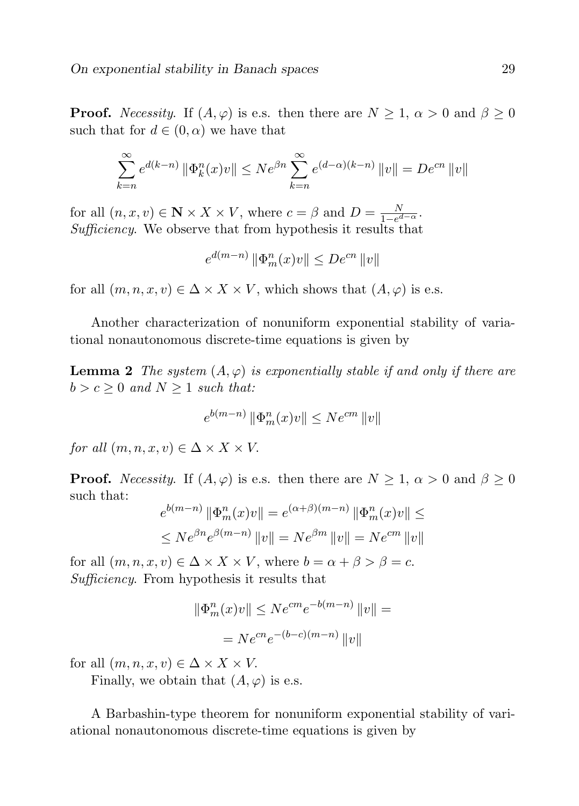**Proof.** Necessity. If  $(A, \varphi)$  is e.s. then there are  $N \geq 1$ ,  $\alpha > 0$  and  $\beta \geq 0$ such that for  $d \in (0, \alpha)$  we have that

$$
\sum_{k=n}^{\infty} e^{d(k-n)} \|\Phi_k^n(x)v\| \le N e^{\beta n} \sum_{k=n}^{\infty} e^{(d-\alpha)(k-n)} \|v\| = De^{cn} \|v\|
$$

for all  $(n, x, v) \in \mathbb{N} \times X \times V$ , where  $c = \beta$  and  $D = \frac{N}{1 - e^{\beta}}$  $\frac{N}{1-e^{d-\alpha}}$ . Sufficiency. We observe that from hypothesis it results that

$$
e^{d(m-n)} \|\Phi_m^n(x)v\| \le D e^{cn} \|v\|
$$

for all  $(m, n, x, v) \in \Delta \times X \times V$ , which shows that  $(A, \varphi)$  is e.s.

Another characterization of nonuniform exponential stability of variational nonautonomous discrete-time equations is given by

**Lemma 2** The system  $(A, \varphi)$  is exponentially stable if and only if there are  $b > c \geq 0$  and  $N \geq 1$  such that:

$$
e^{b(m-n)}\left\|\Phi_m^n(x)v\right\| \leq N e^{cm}\left\|v\right\|
$$

for all  $(m, n, x, v) \in \Delta \times X \times V$ .

**Proof.** Necessity. If  $(A, \varphi)$  is e.s. then there are  $N \geq 1$ ,  $\alpha > 0$  and  $\beta \geq 0$ such that:

$$
e^{b(m-n)} \|\Phi_m^n(x)v\| = e^{(\alpha+\beta)(m-n)} \|\Phi_m^n(x)v\| \le
$$
  

$$
\le N e^{\beta n} e^{\beta(m-n)} \|v\| = N e^{\beta m} \|v\| = N e^{cm} \|v\|
$$

for all  $(m, n, x, v) \in \Delta \times X \times V$ , where  $b = \alpha + \beta > \beta = c$ . Sufficiency. From hypothesis it results that

$$
\|\Phi_m^n(x)v\| \le N e^{cm} e^{-b(m-n)} \|v\| =
$$
  
=  $N e^{cn} e^{-(b-c)(m-n)} \|v\|$ 

for all  $(m, n, x, v) \in \Delta \times X \times V$ .

Finally, we obtain that  $(A, \varphi)$  is e.s.

A Barbashin-type theorem for nonuniform exponential stability of variational nonautonomous discrete-time equations is given by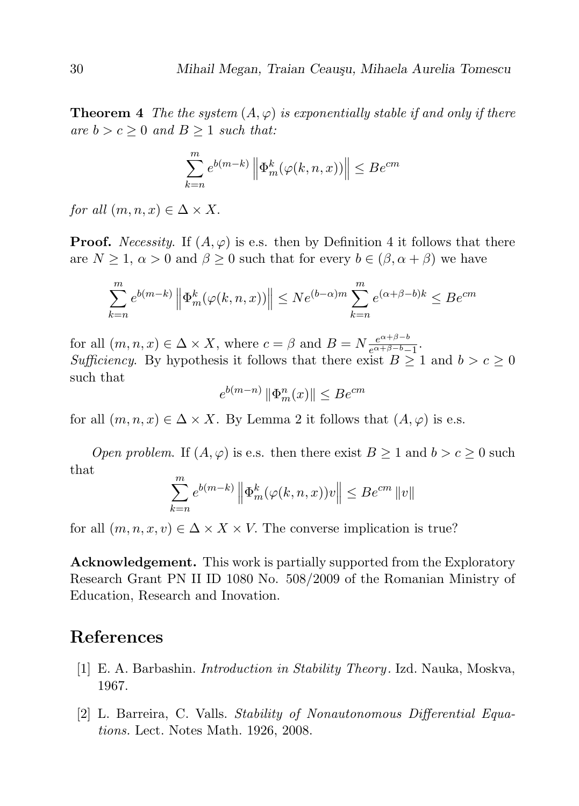**Theorem 4** The the system  $(A, \varphi)$  is exponentially stable if and only if there are  $b > c \geq 0$  and  $B \geq 1$  such that:

$$
\sum_{k=n}^{m} e^{b(m-k)} \left\| \Phi_m^k(\varphi(k,n,x)) \right\| \leq Be^{cm}
$$

for all  $(m, n, x) \in \Delta \times X$ .

**Proof.** Necessity. If  $(A, \varphi)$  is e.s. then by Definition 4 it follows that there are  $N \geq 1$ ,  $\alpha > 0$  and  $\beta \geq 0$  such that for every  $b \in (\beta, \alpha + \beta)$  we have

$$
\sum_{k=n}^{m} e^{b(m-k)} \left\| \Phi_m^k(\varphi(k,n,x)) \right\| \le N e^{(b-\alpha)m} \sum_{k=n}^{m} e^{(\alpha+\beta-b)k} \le B e^{cm}
$$

for all  $(m, n, x) \in \Delta \times X$ , where  $c = \beta$  and  $B = N \frac{e^{\alpha + \beta - b}}{e^{\alpha + \beta - b}}$  $\frac{e^{\alpha+\rho-\sigma}}{e^{\alpha+\beta-b}-1}$ . Sufficiency. By hypothesis it follows that there exist  $B \ge 1$  and  $b > c \ge 0$ such that

$$
e^{b(m-n)} \left\|\Phi_m^n(x)\right\| \leq Be^{cm}
$$

for all  $(m, n, x) \in \Delta \times X$ . By Lemma 2 it follows that  $(A, \varphi)$  is e.s.

Open problem. If  $(A, \varphi)$  is e.s. then there exist  $B \geq 1$  and  $b > c \geq 0$  such that

$$
\sum_{k=n}^{m} e^{b(m-k)} \left\| \Phi_m^k(\varphi(k,n,x))v \right\| \leq Be^{cm} \|v\|
$$

for all  $(m, n, x, v) \in \Delta \times X \times V$ . The converse implication is true?

Acknowledgement. This work is partially supported from the Exploratory Research Grant PN II ID 1080 No. 508/2009 of the Romanian Ministry of Education, Research and Inovation.

## References

- [1] E. A. Barbashin. Introduction in Stability Theory . Izd. Nauka, Moskva, 1967.
- [2] L. Barreira, C. Valls. Stability of Nonautonomous Differential Equations. Lect. Notes Math. 1926, 2008.